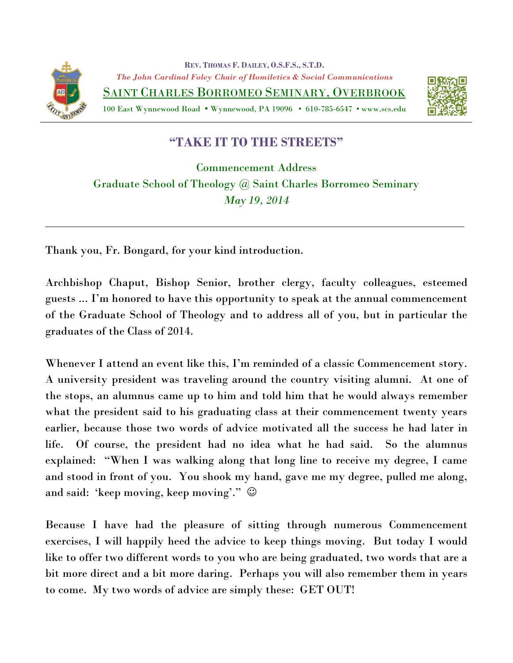

**REV. THOMAS F. DAILEY, O.S.F.S., S.T.D.** *The John Cardinal Foley Chair of Homiletics & Social Communications* SAINT CHARLES BORROMEO SEMINARY, OVERBROOK

100 East Wynnewood Road Wynnewood, PA 19096 • 610-785-6547 • www.scs.edu



## **"TAKE IT TO THE STREETS"**

Commencement Address Graduate School of Theology @ Saint Charles Borromeo Seminary *May 19, 2014*

\_\_\_\_\_\_\_\_\_\_\_\_\_\_\_\_\_\_\_\_\_\_\_\_\_\_\_\_\_\_\_\_\_\_\_\_\_\_\_\_\_\_\_\_\_\_\_\_\_\_\_\_\_\_\_\_\_\_\_\_\_\_\_\_\_\_\_\_\_\_\_\_\_\_\_\_\_\_\_\_\_\_\_\_\_\_\_\_\_\_\_

Thank you, Fr. Bongard, for your kind introduction.

Archbishop Chaput, Bishop Senior, brother clergy, faculty colleagues, esteemed guests ... I'm honored to have this opportunity to speak at the annual commencement of the Graduate School of Theology and to address all of you, but in particular the graduates of the Class of 2014.

Whenever I attend an event like this, I'm reminded of a classic Commencement story. A university president was traveling around the country visiting alumni. At one of the stops, an alumnus came up to him and told him that he would always remember what the president said to his graduating class at their commencement twenty years earlier, because those two words of advice motivated all the success he had later in life. Of course, the president had no idea what he had said. So the alumnus explained: "When I was walking along that long line to receive my degree, I came and stood in front of you. You shook my hand, gave me my degree, pulled me along, and said: 'keep moving, keep moving'."

Because I have had the pleasure of sitting through numerous Commencement exercises, I will happily heed the advice to keep things moving. But today I would like to offer two different words to you who are being graduated, two words that are a bit more direct and a bit more daring. Perhaps you will also remember them in years to come. My two words of advice are simply these: GET OUT!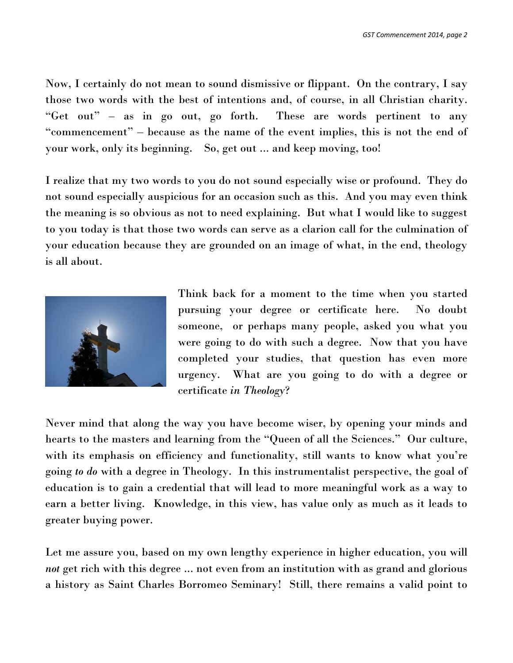Now, I certainly do not mean to sound dismissive or flippant. On the contrary, I say those two words with the best of intentions and, of course, in all Christian charity. "Get out" – as in go out, go forth. These are words pertinent to any "commencement" – because as the name of the event implies, this is not the end of your work, only its beginning. So, get out ... and keep moving, too!

I realize that my two words to you do not sound especially wise or profound. They do not sound especially auspicious for an occasion such as this. And you may even think the meaning is so obvious as not to need explaining. But what I would like to suggest to you today is that those two words can serve as a clarion call for the culmination of your education because they are grounded on an image of what, in the end, theology is all about.



Think back for a moment to the time when you started pursuing your degree or certificate here. No doubt someone, or perhaps many people, asked you what you were going to do with such a degree. Now that you have completed your studies, that question has even more urgency. What are you going to do with a degree or certificate *in Theology*?

Never mind that along the way you have become wiser, by opening your minds and hearts to the masters and learning from the "Queen of all the Sciences." Our culture, with its emphasis on efficiency and functionality, still wants to know what you're going *to do* with a degree in Theology. In this instrumentalist perspective, the goal of education is to gain a credential that will lead to more meaningful work as a way to earn a better living. Knowledge, in this view, has value only as much as it leads to greater buying power.

Let me assure you, based on my own lengthy experience in higher education, you will *not* get rich with this degree ... not even from an institution with as grand and glorious a history as Saint Charles Borromeo Seminary! Still, there remains a valid point to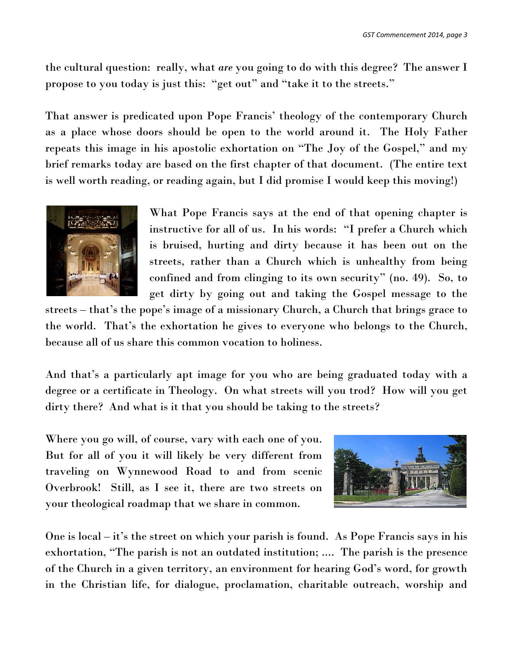the cultural question: really, what *are* you going to do with this degree? The answer I propose to you today is just this: "get out" and "take it to the streets."

That answer is predicated upon Pope Francis' theology of the contemporary Church as a place whose doors should be open to the world around it. The Holy Father repeats this image in his apostolic exhortation on "The Joy of the Gospel," and my brief remarks today are based on the first chapter of that document. (The entire text is well worth reading, or reading again, but I did promise I would keep this moving!)



What Pope Francis says at the end of that opening chapter is instructive for all of us. In his words: "I prefer a Church which is bruised, hurting and dirty because it has been out on the streets, rather than a Church which is unhealthy from being confined and from clinging to its own security" (no. 49). So, to get dirty by going out and taking the Gospel message to the

streets – that's the pope's image of a missionary Church, a Church that brings grace to the world. That's the exhortation he gives to everyone who belongs to the Church, because all of us share this common vocation to holiness.

And that's a particularly apt image for you who are being graduated today with a degree or a certificate in Theology. On what streets will you trod? How will you get dirty there? And what is it that you should be taking to the streets?

Where you go will, of course, vary with each one of you. But for all of you it will likely be very different from traveling on Wynnewood Road to and from scenic Overbrook! Still, as I see it, there are two streets on your theological roadmap that we share in common.



One is local – it's the street on which your parish is found. As Pope Francis says in his exhortation, "The parish is not an outdated institution; .... The parish is the presence of the Church in a given territory, an environment for hearing God's word, for growth in the Christian life, for dialogue, proclamation, charitable outreach, worship and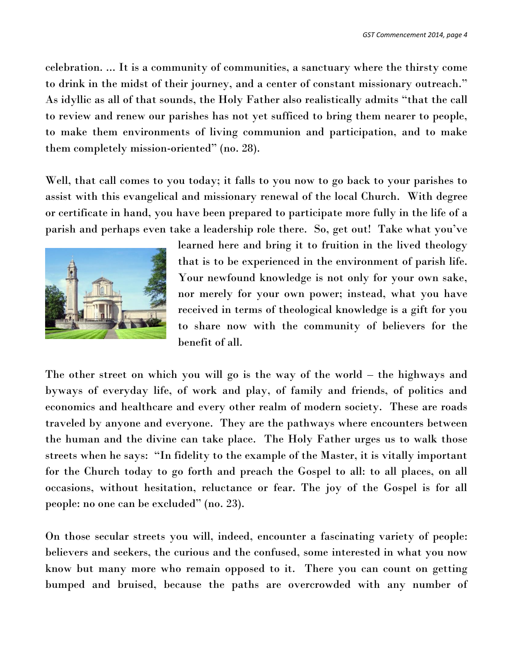celebration. ... It is a community of communities, a sanctuary where the thirsty come to drink in the midst of their journey, and a center of constant missionary outreach." As idyllic as all of that sounds, the Holy Father also realistically admits "that the call to review and renew our parishes has not yet sufficed to bring them nearer to people, to make them environments of living communion and participation, and to make them completely mission-oriented" (no. 28).

Well, that call comes to you today; it falls to you now to go back to your parishes to assist with this evangelical and missionary renewal of the local Church. With degree or certificate in hand, you have been prepared to participate more fully in the life of a parish and perhaps even take a leadership role there. So, get out! Take what you've



learned here and bring it to fruition in the lived theology that is to be experienced in the environment of parish life. Your newfound knowledge is not only for your own sake, nor merely for your own power; instead, what you have received in terms of theological knowledge is a gift for you to share now with the community of believers for the benefit of all.

The other street on which you will go is the way of the world – the highways and byways of everyday life, of work and play, of family and friends, of politics and economics and healthcare and every other realm of modern society. These are roads traveled by anyone and everyone. They are the pathways where encounters between the human and the divine can take place. The Holy Father urges us to walk those streets when he says: "In fidelity to the example of the Master, it is vitally important for the Church today to go forth and preach the Gospel to all: to all places, on all occasions, without hesitation, reluctance or fear. The joy of the Gospel is for all people: no one can be excluded" (no. 23).

On those secular streets you will, indeed, encounter a fascinating variety of people: believers and seekers, the curious and the confused, some interested in what you now know but many more who remain opposed to it. There you can count on getting bumped and bruised, because the paths are overcrowded with any number of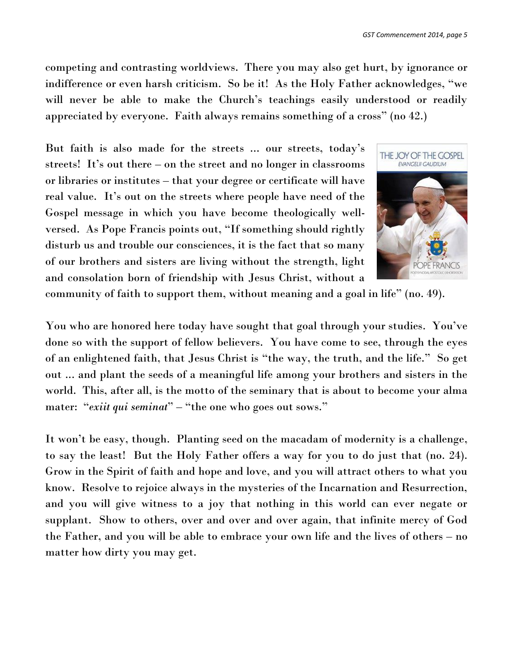competing and contrasting worldviews. There you may also get hurt, by ignorance or indifference or even harsh criticism. So be it! As the Holy Father acknowledges, "we will never be able to make the Church's teachings easily understood or readily appreciated by everyone. Faith always remains something of a cross" (no 42.)

But faith is also made for the streets ... our streets, today's streets! It's out there – on the street and no longer in classrooms or libraries or institutes – that your degree or certificate will have real value. It's out on the streets where people have need of the Gospel message in which you have become theologically wellversed. As Pope Francis points out, "If something should rightly disturb us and trouble our consciences, it is the fact that so many of our brothers and sisters are living without the strength, light and consolation born of friendship with Jesus Christ, without a



community of faith to support them, without meaning and a goal in life" (no. 49).

You who are honored here today have sought that goal through your studies. You've done so with the support of fellow believers. You have come to see, through the eyes of an enlightened faith, that Jesus Christ is "the way, the truth, and the life." So get out ... and plant the seeds of a meaningful life among your brothers and sisters in the world. This, after all, is the motto of the seminary that is about to become your alma mater: "*exiit qui seminat*" – "the one who goes out sows."

It won't be easy, though. Planting seed on the macadam of modernity is a challenge, to say the least! But the Holy Father offers a way for you to do just that (no. 24). Grow in the Spirit of faith and hope and love, and you will attract others to what you know. Resolve to rejoice always in the mysteries of the Incarnation and Resurrection, and you will give witness to a joy that nothing in this world can ever negate or supplant. Show to others, over and over and over again, that infinite mercy of God the Father, and you will be able to embrace your own life and the lives of others – no matter how dirty you may get.